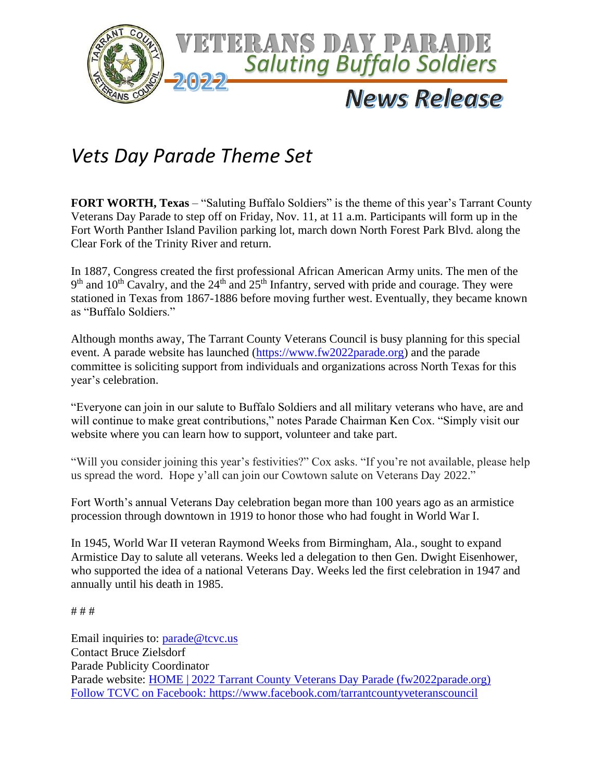

## *Vets Day Parade Theme Set*

**FORT WORTH, Texas** – "Saluting Buffalo Soldiers" is the theme of this year's Tarrant County Veterans Day Parade to step off on Friday, Nov. 11, at 11 a.m. Participants will form up in the Fort Worth Panther Island Pavilion parking lot, march down North Forest Park Blvd. along the Clear Fork of the Trinity River and return.

In 1887, Congress created the first professional African American Army units. The men of the  $9<sup>th</sup>$  and  $10<sup>th</sup>$  Cavalry, and the  $24<sup>th</sup>$  and  $25<sup>th</sup>$  Infantry, served with pride and courage. They were stationed in Texas from 1867-1886 before moving further west. Eventually, they became known as "Buffalo Soldiers."

Although months away, The Tarrant County Veterans Council is busy planning for this special event. A parade website has launched [\(https://www.fw2022parade.org\)](https://www.fw2022parade.org/) and the parade committee is soliciting support from individuals and organizations across North Texas for this year's celebration.

"Everyone can join in our salute to Buffalo Soldiers and all military veterans who have, are and will continue to make great contributions," notes Parade Chairman Ken Cox. "Simply visit our website where you can learn how to support, volunteer and take part.

"Will you consider joining this year's festivities?" Cox asks. "If you're not available, please help us spread the word. Hope y'all can join our Cowtown salute on Veterans Day 2022."

Fort Worth's annual Veterans Day celebration began more than 100 years ago as an armistice procession through downtown in 1919 to honor those who had fought in World War I.

In 1945, [World War II](https://en.wikipedia.org/wiki/World_War_II) veteran Raymond Weeks from [Birmingham, Ala.,](https://en.wikipedia.org/wiki/Birmingham,_Alabama) sought to expand Armistice Day to salute all veterans. Weeks led a delegation to then Gen. Dwight Eisenhower, who supported the idea of a national Veterans Day. Weeks led the first celebration in 1947 and annually until his death in 1985.

# # #

Email inquiries to: [parade@tcvc.us](mailto:parade@tcvc.us) Contact Bruce Zielsdorf Parade Publicity Coordinator Parade website: [HOME | 2022 Tarrant County Veterans Day Parade \(fw2022parade.org\)](https://www.fw2022parade.org/) Follow TCVC on Facebook:<https://www.facebook.com/tarrantcountyveteranscouncil>